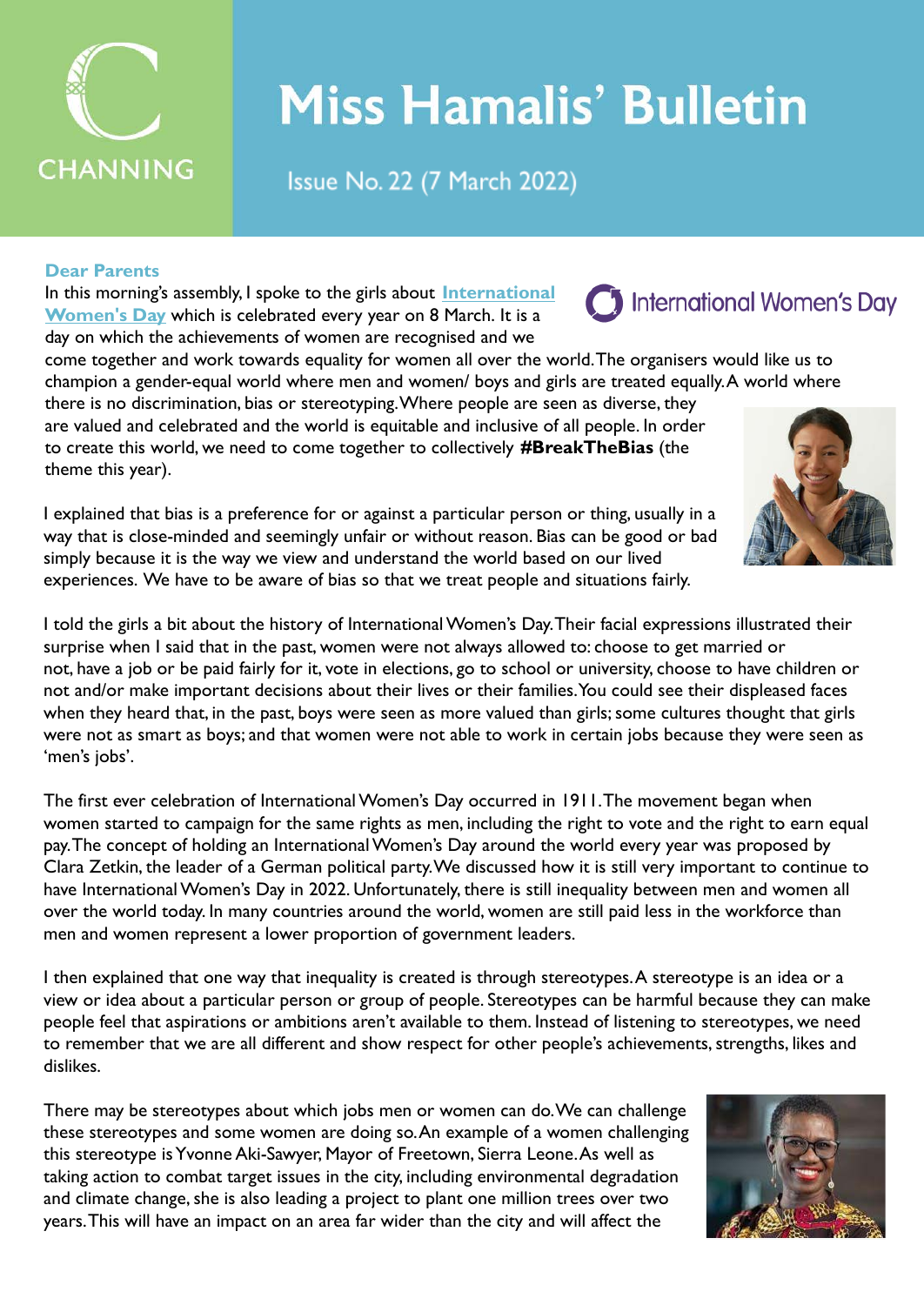

# **Miss Hamalis' Bulletin**

Issue No. 22 (7 March 2022)

## **Dear Parents**

In this morning's assembly, I spoke to the girls about **[International](https://www.internationalwomensday.com/About) [Women's Day](https://www.internationalwomensday.com/About)** which is celebrated every year on 8 March. It is a day on which the achievements of women are recognised and we

come together and work towards equality for women all over the world. The organisers would like us to champion a gender-equal world where men and women/ boys and girls are treated equally. A world where there is no discrimination, bias or stereotyping. Where people are seen as diverse, they are valued and celebrated and the world is equitable and inclusive of all people. In order

to create this world, we need to come together to collectively **#BreakTheBias** (the theme this year).

I explained that bias is a preference for or against a particular person or thing, usually in a way that is close-minded and seemingly unfair or without reason. Bias can be good or bad simply because it is the way we view and understand the world based on our lived experiences. We have to be aware of bias so that we treat people and situations fairly.

I told the girls a bit about the history of International Women's Day. Their facial expressions illustrated their surprise when I said that in the past, women were not always allowed to: choose to get married or not, have a job or be paid fairly for it, vote in elections, go to school or university, choose to have children or not and/or make important decisions about their lives or their families. You could see their displeased faces when they heard that, in the past, boys were seen as more valued than girls; some cultures thought that girls were not as smart as boys; and that women were not able to work in certain jobs because they were seen as 'men's jobs'.

The first ever celebration of International Women's Day occurred in 1911. The movement began when women started to campaign for the same rights as men, including the right to vote and the right to earn equal pay. The concept of holding an International Women's Day around the world every year was proposed by Clara Zetkin, the leader of a German political party. We discussed how it is still very important to continue to have International Women's Day in 2022. Unfortunately, there is still inequality between men and women all over the world today. In many countries around the world, women are still paid less in the workforce than men and women represent a lower proportion of government leaders.

I then explained that one way that inequality is created is through stereotypes. A stereotype is an idea or a view or idea about a particular person or group of people. Stereotypes can be harmful because they can make people feel that aspirations or ambitions aren't available to them. Instead of listening to stereotypes, we need to remember that we are all different and show respect for other people's achievements, strengths, likes and dislikes.

There may be stereotypes about which jobs men or women can do. We can challenge these stereotypes and some women are doing so. An example of a women challenging this stereotype is Yvonne Aki-Sawyer, Mayor of Freetown, Sierra Leone. As well as taking action to combat target issues in the city, including environmental degradation and climate change, she is also leading a project to plant one million trees over two years. This will have an impact on an area far wider than the city and will affect the





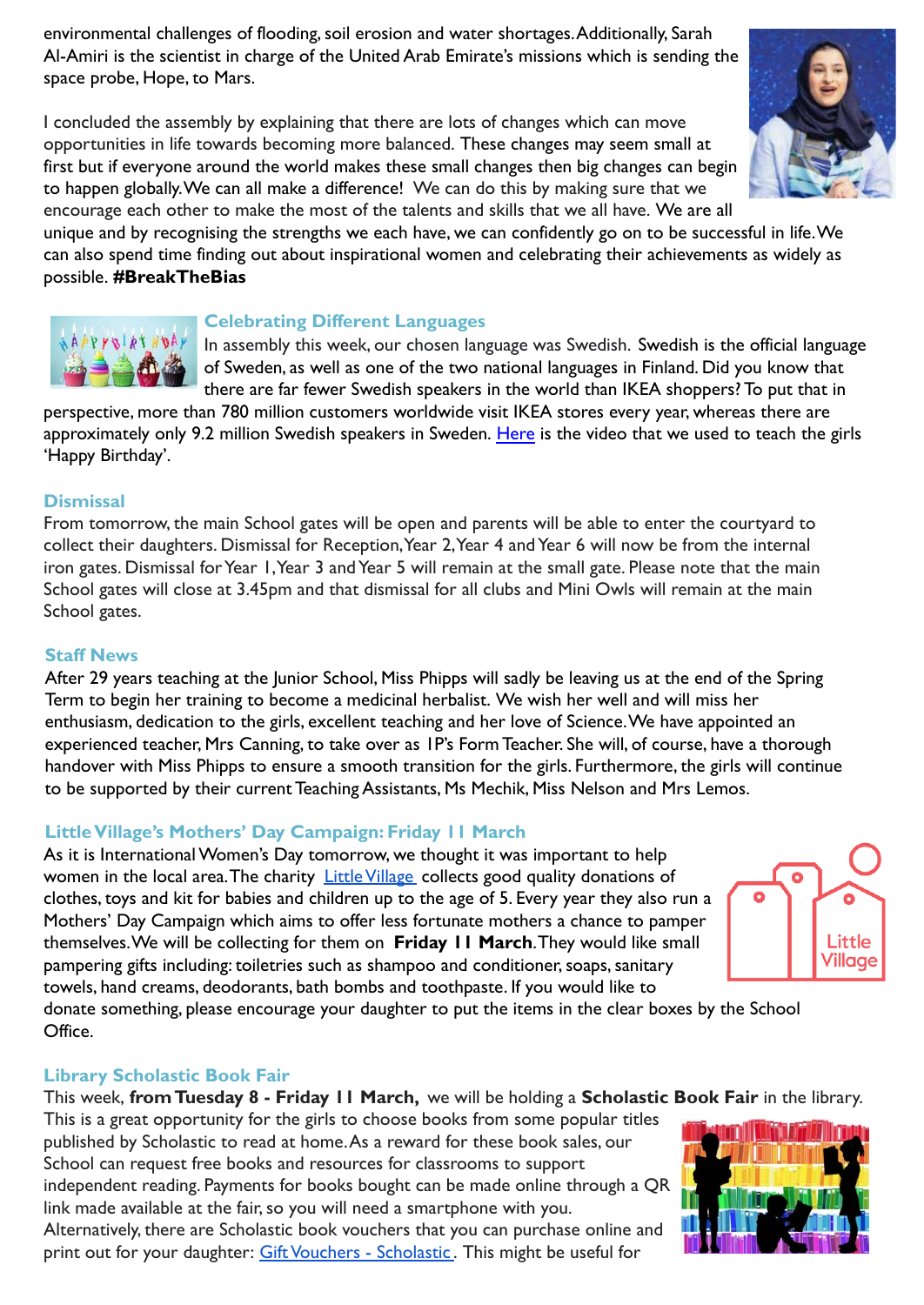environmental challenges of flooding, soil erosion and water shortages. Additionally, Sarah Al-Amiri is the scientist in charge of the United Arab Emirate's missions which is sending the space probe, Hope, to Mars.

I concluded the assembly by explaining that there are lots of changes which can move opportunities in life towards becoming more balanced. These changes may seem small at first but if everyone around the world makes these small changes then big changes can begin to happen globally. We can all make a difference! We can do this by making sure that we encourage each other to make the most of the talents and skills that we all have. We are all





#### **Celebrating Different Languages**

In assembly this week, our chosen language was Swedish. Swedish is the official language of Sweden, as well as one of the two national languages in Finland. Did you know that there are far fewer Swedish speakers in the world than IKEA shoppers? To put that in

perspective, more than 780 million customers worldwide visit IKEA stores every year, whereas there are approximately only 9.2 million Swedish speakers in Sweden. [Here](https://youtu.be/6eWhV7xYH-Q) is the video that we used to teach the girls 'Happy Birthday'.

#### **Dismissal**

From tomorrow, the main School gates will be open and parents will be able to enter the courtyard to collect their daughters. Dismissal for Reception, Year 2, Year 4 and Year 6 will now be from the internal iron gates. Dismissal for Year 1, Year 3 and Year 5 will remain at the small gate. Please note that the main School gates will close at 3.45pm and that dismissal for all clubs and Mini Owls will remain at the main School gates.

#### **Staff News**

After 29 years teaching at the Junior School, Miss Phipps will sadly be leaving us at the end of the Spring Term to begin her training to become a medicinal herbalist. We wish her well and will miss her enthusiasm, dedication to the girls, excellent teaching and her love of Science. We have appointed an experienced teacher, Mrs Canning, to take over as 1P's Form Teacher. She will, of course, have a thorough handover with Miss Phipps to ensure a smooth transition for the girls. Furthermore, the girls will continue to be supported by their current Teaching Assistants, Ms Mechik, Miss Nelson and Mrs Lemos.

#### **Little Village's Mothers' Day Campaign: Friday 11 March**

As it is International Women's Day tomorrow, we thought it was important to help women in the local area. The charity [Little Village](https://littlevillagehq.org/) collects good quality donations of clothes, toys and kit for babies and children up to the age of 5. Every year they also run a Mothers' Day Campaign which aims to offer less fortunate mothers a chance to pamper themselves. We will be collecting for them on **Friday 11 March**. They would like small pampering gifts including: toiletries such as shampoo and conditioner, soaps, sanitary towels, hand creams, deodorants, bath bombs and toothpaste. If you would like to



donate something, please encourage your daughter to put the items in the clear boxes by the School Office.

#### **Library Scholastic Book Fair**

This week, **from Tuesday 8 - Friday 11 March,** we will be holding a **Scholastic Book Fair** in the library. This is a great opportunity for the girls to choose books from some popular titles published by Scholastic to read at home. As a reward for these book sales, our School can request free books and resources for classrooms to support independent reading. Payments for books bought can be made online through a QR link made available at the fair, so you will need a smartphone with you.

Alternatively, there are Scholastic book vouchers that you can purchase online and print out for your daughter: [Gift Vouchers - Scholastic](https://bookfairs.scholastic.co.uk/gift-vouchers). This might be useful for



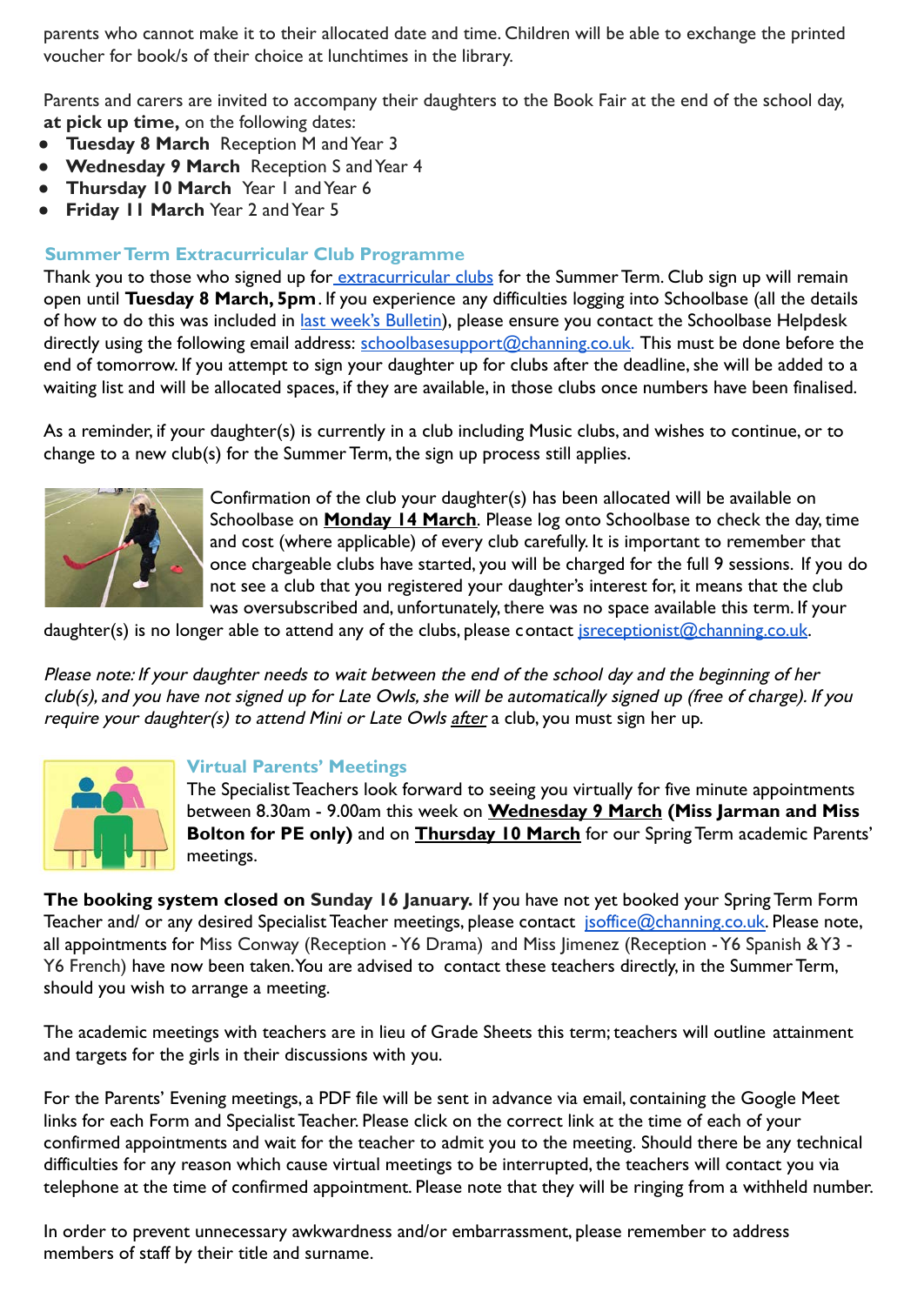parents who cannot make it to their allocated date and time. Children will be able to exchange the printed voucher for book/s of their choice at lunchtimes in the library.

Parents and carers are invited to accompany their daughters to the Book Fair at the end of the school day, **at pick up time,** on the following dates:

- **Tuesday 8 March** Reception M and Year 3
- **Wednesday 9 March** Reception S and Year 4
- **Thursday 10 March** Year 1 and Year 6
- **Friday 11 March** Year 2 and Year 5

## **Summer Term Extracurricular Club Programme**

Thank you to those who signed up for [extracurricular clubs](https://drive.google.com/file/d/11kIrsXBzmptCXBUVu_FrJtysEc_36OxX/view?usp=sharing) for the Summer Term. Club sign up will remain open until **Tuesday 8 March, 5pm**. If you experience any difficulties logging into Schoolbase (all the details of how to do this was included in [last week's Bulletin\)](https://www.channing.co.uk/wp-content/uploads/2022/03/Bulletin-No.-21-28-Feb-2022-2.pdf), please ensure you contact the Schoolbase Helpdesk directly using the following email address: [schoolbasesupport@channing.co.uk.](mailto:schoolbasesupport@channing.co.uk) This must be done before the end of tomorrow. If you attempt to sign your daughter up for clubs after the deadline, she will be added to a waiting list and will be allocated spaces, if they are available, in those clubs once numbers have been finalised.

As a reminder, if your daughter(s) is currently in a club including Music clubs, and wishes to continue, or to change to a new club(s) for the Summer Term, the sign up process still applies.



Confirmation of the club your daughter(s) has been allocated will be available on Schoolbase on **Monday 14 March**. Please log onto Schoolbase to check the day, time and cost (where applicable) of every club carefully. It is important to remember that once chargeable clubs have started, you will be charged for the full 9 sessions. If you do not see a club that you registered your daughter's interest for, it means that the club was oversubscribed and, unfortunately, there was no space available this term. If your

daughter(s) is no longer able to attend any of the clubs, please contact isreceptionist@channing.co.uk.

Please note: If your daughter needs to wait between the end of the school day and the beginning of her club(s), and you have not signed up for Late Owls, she will be automatically signed up (free of charge). If you require your daughter(s) to attend Mini or Late Owls after a club, you must sign her up.



#### **Virtual Parents' Meetings**

The Specialist Teachers look forward to seeing you virtually for five minute appointments between 8.30am - 9.00am this week on **Wednesday 9 March (Miss Jarman and Miss Bolton for PE only)** and on **Thursday 10 March** for our Spring Term academic Parents' meetings.

**The booking system closed on Sunday 16 January.** If you have not yet booked your Spring Term Form Teacher and/ or any desired Specialist Teacher meetings, please contact [jsoffice@channing.co.uk.](mailto:jsoffice@channing.co.uk) Please note, all appointments for Miss Conway (Reception - Y6 Drama) and Miss Jimenez (Reception - Y6 Spanish & Y3 - Y6 French) have now been taken. You are advised to contact these teachers directly, in the Summer Term, should you wish to arrange a meeting.

The academic meetings with teachers are in lieu of Grade Sheets this term; teachers will outline attainment and targets for the girls in their discussions with you.

For the Parents' Evening meetings, a PDF file will be sent in advance via email, containing the Google Meet links for each Form and Specialist Teacher. Please click on the correct link at the time of each of your confirmed appointments and wait for the teacher to admit you to the meeting. Should there be any technical difficulties for any reason which cause virtual meetings to be interrupted, the teachers will contact you via telephone at the time of confirmed appointment. Please note that they will be ringing from a withheld number.

In order to prevent unnecessary awkwardness and/or embarrassment, please remember to address members of staff by their title and surname.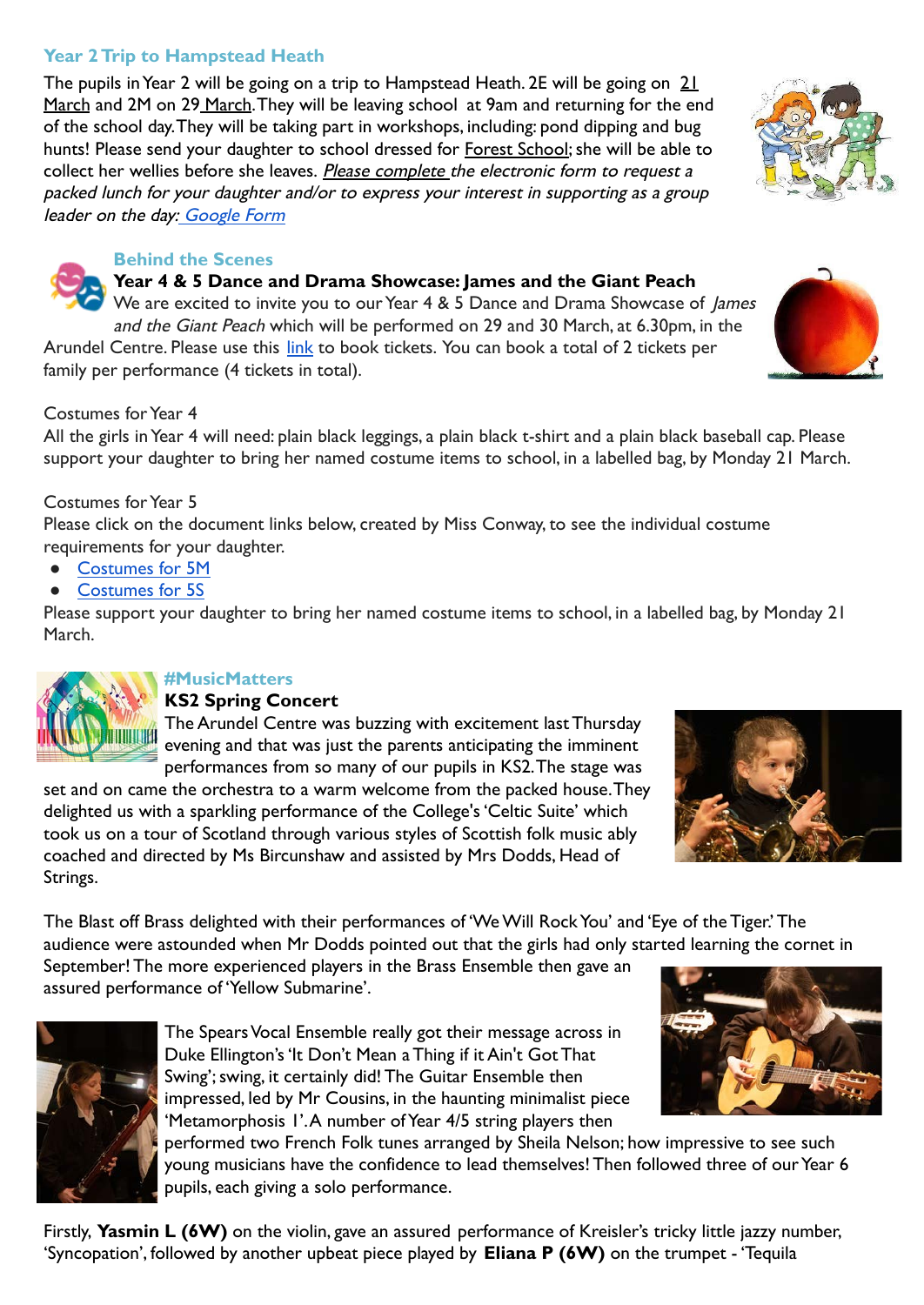## **Year 2 Trip to Hampstead Heath**

The pupils in Year 2 will be going on a trip to Hampstead Heath. 2E will be going on 21 March and 2M on 29 March. They will be leaving school at 9am and returning for the end of the school day. They will be taking part in workshops, including: pond dipping and bug hunts! Please send your daughter to school dressed for Forest School; she will be able to collect her wellies before she leaves. Please complete the electronic form to request a packed lunch for your daughter and/or to express your interest in supporting as a group leader on the day: [Google Form](https://forms.gle/KtchC7yK6DYS7XGX6)

### **Behind the Scenes**

## **Year 4 & 5 Dance and Drama Showcase: James and the Giant Peach**

We are excited to invite you to our Year 4 & 5 Dance and Drama Showcase of James and the Giant Peach which will be performed on 29 and 30 March, at 6.30pm, in the Arundel Centre. Please use this [link](https://www.channing.co.uk/productions-concerts/james-and-the-giant-peach/) to book tickets. You can book a total of 2 tickets per family per performance (4 tickets in total).

## Costumes for Year 4

All the girls in Year 4 will need: plain black leggings, a plain black t-shirt and a plain black baseball cap. Please support your daughter to bring her named costume items to school, in a labelled bag, by Monday 21 March.

## Costumes for Year 5

Please click on the document links below, created by Miss Conway, to see the individual costume requirements for your daughter.

- [Costumes for 5M](https://docs.google.com/document/d/1NqUspkOj5PgNDYU1cTWAyxOQ25rA0FshVuMTRuNJeT0/edit?usp=sharing)
- [Costumes for 5S](https://docs.google.com/document/d/1yW0yBNgooMsyKRQYelGiWePrZsoJ3eLoB6e8vtX8_6I/edit?usp=sharing)

Please support your daughter to bring her named costume items to school, in a labelled bag, by Monday 21 March.



## **#MusicMatters**

## **KS2 Spring Concert**

The Arundel Centre was buzzing with excitement last Thursday evening and that was just the parents anticipating the imminent performances from so many of our pupils in KS2. The stage was

set and on came the orchestra to a warm welcome from the packed house. They delighted us with a sparkling performance of the College's 'Celtic Suite' which took us on a tour of Scotland through various styles of Scottish folk music ably coached and directed by Ms Bircunshaw and assisted by Mrs Dodds, Head of Strings.

The Blast off Brass delighted with their performances of 'We Will Rock You' and 'Eye of the Tiger.' The audience were astounded when Mr Dodds pointed out that the girls had only started learning the cornet in September! The more experienced players in the Brass Ensemble then gave an

assured performance of 'Yellow Submarine'.



The Spears Vocal Ensemble really got their message across in Duke Ellington's 'It Don't Mean a Thing if it Ain't Got That Swing'; swing, it certainly did! The Guitar Ensemble then impressed, led by Mr Cousins, in the haunting minimalist piece 'Metamorphosis 1'. A number of Year 4/5 string players then

performed two French Folk tunes arranged by Sheila Nelson; how impressive to see such young musicians have the confidence to lead themselves! Then followed three of our Year 6 pupils, each giving a solo performance.

Firstly, **Yasmin L (6W)** on the violin, gave an assured performance of Kreisler's tricky little jazzy number, 'Syncopation', followed by another upbeat piece played by **Eliana P (6W)** on the trumpet - 'Tequila







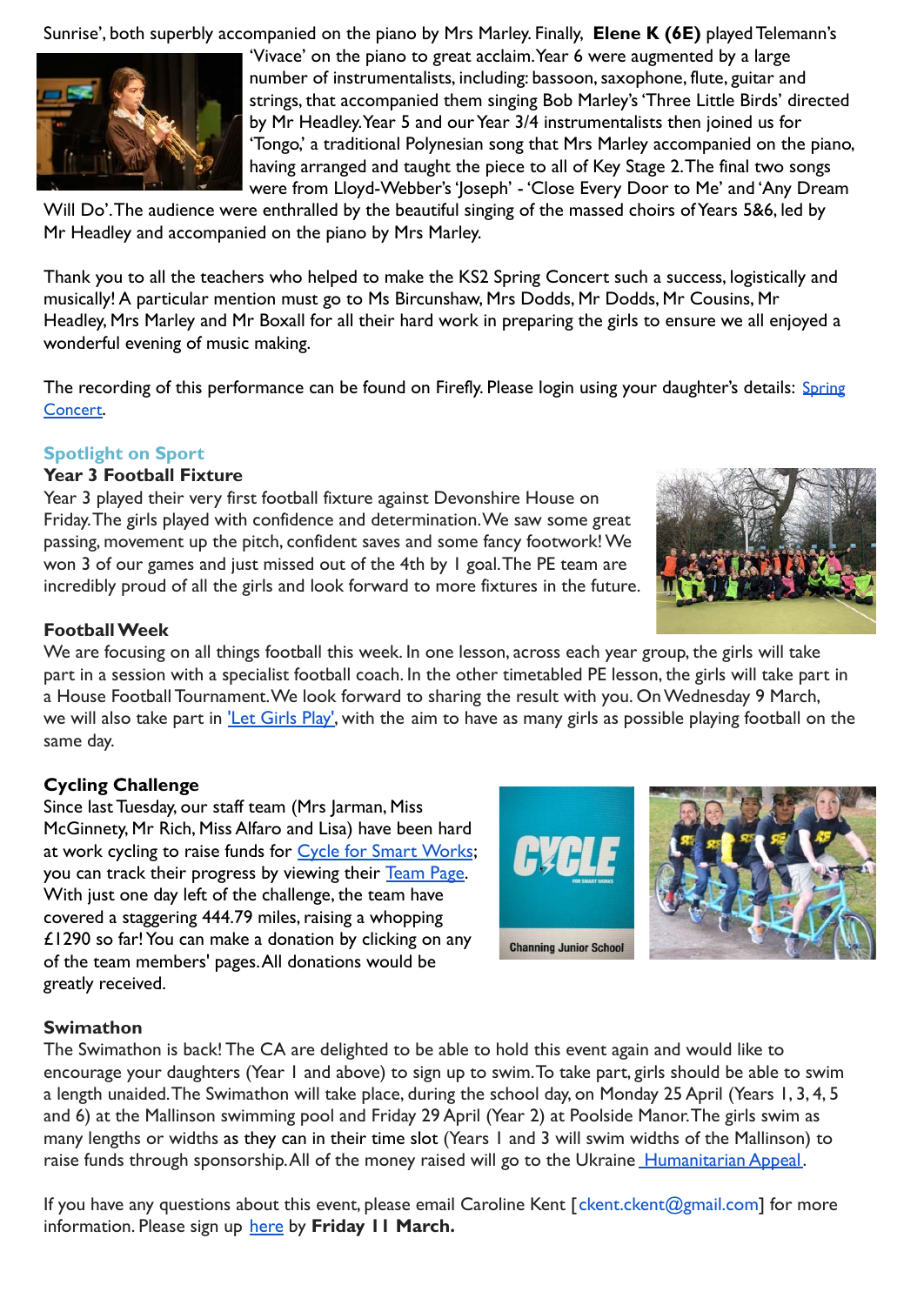Sunrise', both superbly accompanied on the piano by Mrs Marley. Finally, **Elene K (6E)** played Telemann's



'Vivace' on the piano to great acclaim. Year 6 were augmented by a large number of instrumentalists, including: bassoon, saxophone, flute, guitar and strings, that accompanied them singing Bob Marley's 'Three Little Birds' directed by Mr Headley. Year 5 and our Year 3/4 instrumentalists then joined us for 'Tongo,' a traditional Polynesian song that Mrs Marley accompanied on the piano, having arranged and taught the piece to all of Key Stage 2. The final two songs were from Lloyd-Webber's 'Joseph' - 'Close Every Door to Me' and 'Any Dream

Will Do'. The audience were enthralled by the beautiful singing of the massed choirs of Years 5&6, led by Mr Headley and accompanied on the piano by Mrs Marley.

Thank you to all the teachers who helped to make the KS2 Spring Concert such a success, logistically and musically! A particular mention must go to Ms Bircunshaw, Mrs Dodds, Mr Dodds, Mr Cousins, Mr Headley, Mrs Marley and Mr Boxall for all their hard work in preparing the girls to ensure we all enjoyed a wonderful evening of music making.

The recording of this performance can be found on Firefly. Please login using your daughter's details: [Spring](https://juniorchanning.fireflycloud.net/events/junior-school-spring-concert) [Concert](https://juniorchanning.fireflycloud.net/events/junior-school-spring-concert).

#### **Spotlight on Sport**

#### **Year 3 Football Fixture**

Year 3 played their very first football fixture against Devonshire House on Friday. The girls played with confidence and determination. We saw some great passing, movement up the pitch, confident saves and some fancy footwork! We won 3 of our games and just missed out of the 4th by 1 goal. The PE team are incredibly proud of all the girls and look forward to more fixtures in the future.



#### **Football Week**

We are focusing on all things football this week. In one lesson, across each year group, the girls will take part in a session with a specialist football coach. In the other timetabled PE lesson, the girls will take part in a House Football Tournament. We look forward to sharing the result with you. On Wednesday 9 March, we will also take part in ['Let Girls Play',](https://girlsfootballinschools.org/letgirlsplay.php) with the aim to have as many girls as possible playing football on the same day.

#### **Cycling Challenge**

Since last Tuesday, our staff team (Mrs Jarman, Miss McGinnety, Mr Rich, Miss Alfaro and Lisa) have been hard at work cycling to raise funds for [Cycle for Smart Works](https://www.cycleforsmartworks.org.uk/); you can track their progress by viewing their [Team Page.](https://www.cycleforsmartworks.org.uk/teams/channing-junior-school) With just one day left of the challenge, the team have covered a staggering 444.79 miles, raising a whopping £1290 so far! You can make a donation by clicking on any of the team members' pages. All donations would be greatly received.



#### **Swimathon**

The Swimathon is back! The CA are delighted to be able to hold this event again and would like to encourage your daughters (Year 1 and above) to sign up to swim. To take part, girls should be able to swim a length unaided. The Swimathon will take place, during the school day, on Monday 25 April (Years 1, 3, 4, 5 and 6) at the Mallinson swimming pool and Friday 29 April (Year 2) at Poolside Manor. The girls swim as many lengths or widths as they can in their time slot (Years 1 and 3 will swim widths of the Mallinson) to raise funds through sponsorship. All of the money raised will go to the Ukraine [Humanitarian Appeal.](https://www.dec.org.uk/)

If you have any questions about this event, please email Caroline Kent [ckent.ckent@gmail.com] for more information. Please sign up [here](https://docs.google.com/forms/d/1bzoD9IPAw-hSJacjSucdt6NgaVBa6QNJ9XJGJm0B4CE/edit) by Friday 11 March.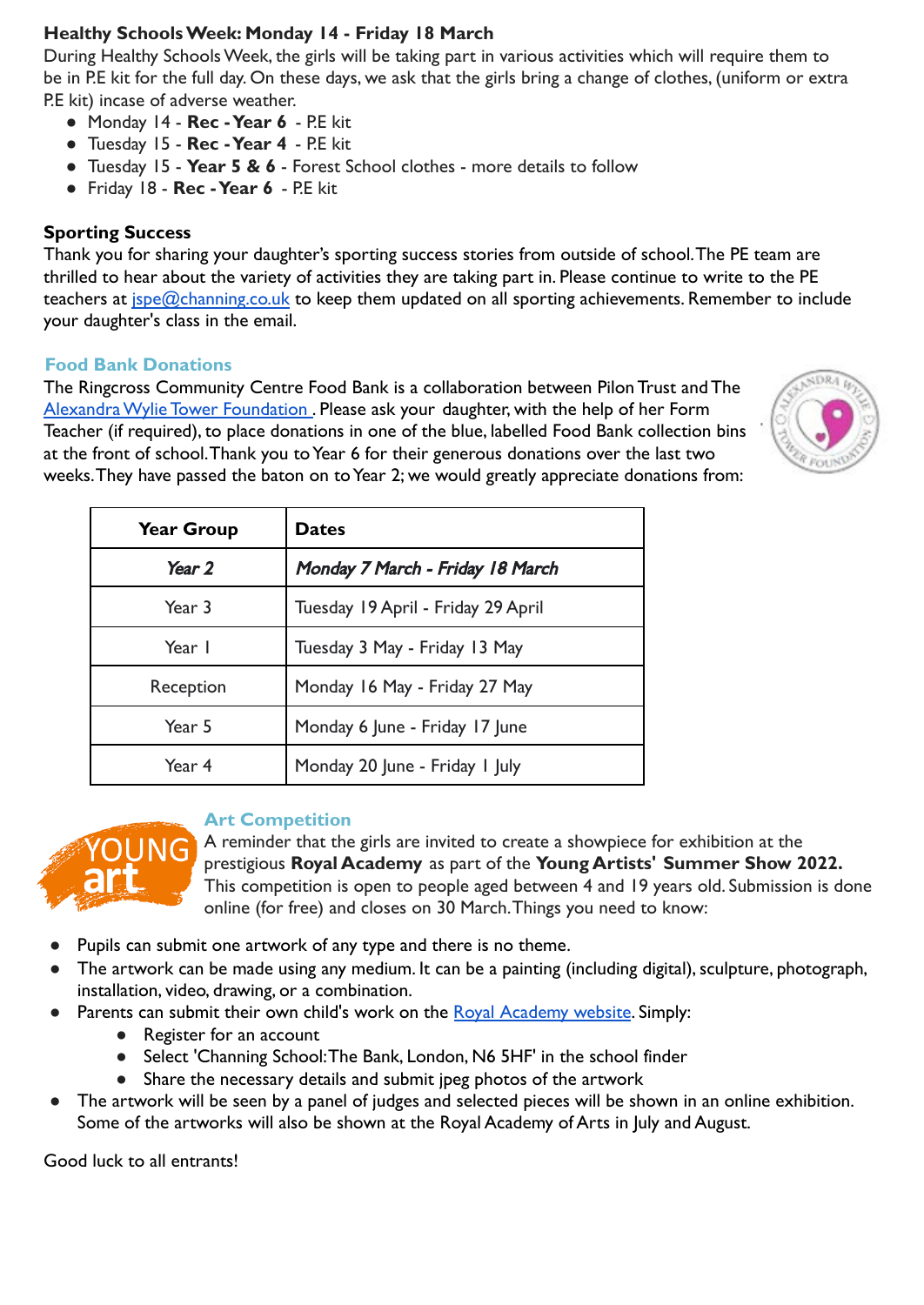## **Healthy Schools Week: Monday 14 - Friday 18 March**

During Healthy Schools Week, the girls will be taking part in various activities which will require them to be in P.E kit for the full day. On these days, we ask that the girls bring a change of clothes, (uniform or extra P.E kit) incase of adverse weather.

- Monday 14 **Rec Year 6** P.E kit
- Tuesday 15 **Rec Year 4** P.E kit
- Tuesday 15 **Year 5 & 6** Forest School clothes more details to follow
- Friday 18 **Rec Year 6** P.E kit

## **Sporting Success**

Thank you for sharing your daughter's sporting success stories from outside of school. The PE team are thrilled to hear about the variety of activities they are taking part in. Please continue to write to the PE teachers at *[jspe@channing.co.uk](mailto:jspe@channing.co.uk)* to keep them updated on all sporting achievements. Remember to include your daughter's class in the email.

## **Food Bank Donations**

The Ringcross Community Centre Food Bank is a collaboration between Pilon Trust and The [Alexandra Wylie Tower Foundation](https://www.awtf.org/) . Please ask your daughter, with the help of her Form Teacher (if required), to place donations in one of the blue, labelled Food Bank collection bins at the front of school. Thank you to Year 6 for their generous donations over the last two weeks. They have passed the baton on to Year 2; we would greatly appreciate donations from:



| <b>Year Group</b> | <b>Dates</b>                       |
|-------------------|------------------------------------|
| Year 2            | Monday 7 March - Friday 18 March   |
| Year 3            | Tuesday 19 April - Friday 29 April |
| Year I            | Tuesday 3 May - Friday 13 May      |
| Reception         | Monday 16 May - Friday 27 May      |
| Year 5            | Monday 6 June - Friday 17 June     |
| Year 4            | Monday 20 June - Friday I July     |



## **Art Competition**

A reminder that the girls are invited to create a showpiece for exhibition at the prestigious **Royal Academy** as part of the **Young Artists' Summer Show 2022.** This competition is open to people aged between 4 and 19 years old. Submission is done online (for free) and closes on 30 March. Things you need to know:

- Pupils can submit one artwork of any type and there is no theme.
- The artwork can be made using any medium. It can be a painting (including digital), sculpture, photograph, installation, video, drawing, or a combination.
- Parents can submit their own child's work on the [Royal Academy website](https://youngartists.royalacademy.org.uk/). Simply:
	- Register for an account
	- Select 'Channing School: The Bank, London, N6 5HF' in the school finder
	- Share the necessary details and submit jpeg photos of the artwork
- The artwork will be seen by a panel of judges and selected pieces will be shown in an online exhibition. Some of the artworks will also be shown at the Royal Academy of Arts in July and August.

Good luck to all entrants!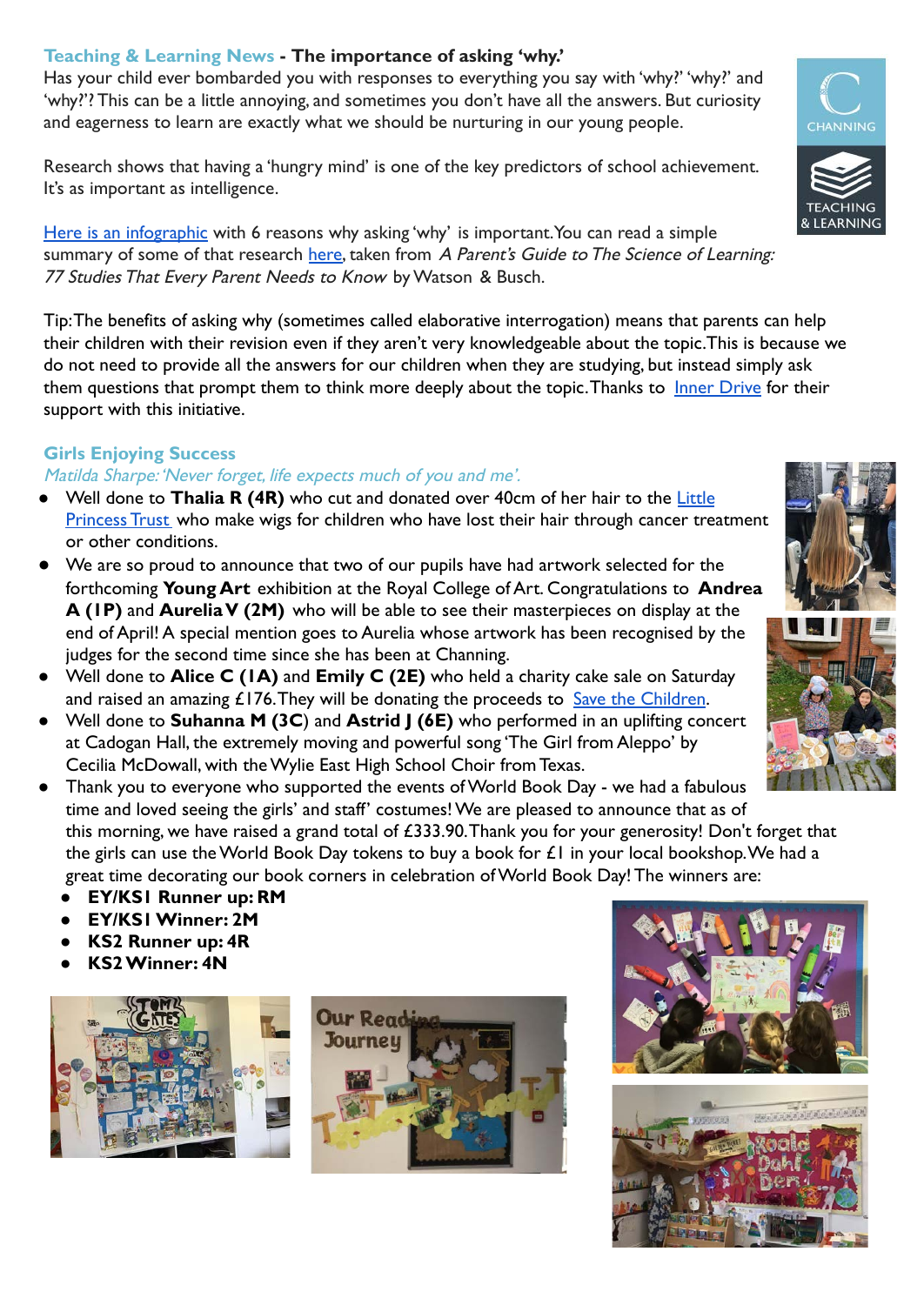## **Teaching & Learning News - The importance of asking 'why.'**

Has your child ever bombarded you with responses to everything you say with 'why?' 'why?' and 'why?'? This can be a little annoying, and sometimes you don't have all the answers. But curiosity and eagerness to learn are exactly what we should be nurturing in our young people.

Research shows that having a 'hungry mind' is one of the key predictors of school achievement. It's as important as intelligence.

[Here is an infographic](https://drive.google.com/file/d/1aHSIL28yV1MScA_GMmYb13aZS1wLMBkp/view) with 6 reasons why asking 'why' is important. You can read a simple summary of some of that research [here,](https://drive.google.com/file/d/1lzfCZNF-30TEyssag11JXvZRUD8Ia7sS/view) taken from A Parent's Guide to The Science of Learning: 77 Studies That Every Parent Needs to Know by Watson & Busch.

Tip: The benefits of asking why (sometimes called elaborative interrogation) means that parents can help their children with their revision even if they aren't very knowledgeable about the topic.This is because we do not need to provide all the answers for our children when they are studying, but instead simply ask them questions that prompt them to think more deeply about the topic. Thanks to [Inner Drive](https://www.innerdrive.co.uk/) for their support with this initiative.

## **Girls Enjoying Success**

#### Matilda Sharpe: 'Never forget, life expects much of you and me'.

- Well done to **Thalia R (4R)** who cut and donated over 40cm of her hair to the [Little](https://www.littleprincesses.org.uk/) [Princess Trust](https://www.littleprincesses.org.uk/) who make wigs for children who have lost their hair through cancer treatment or other conditions.
- We are so proud to announce that two of our pupils have had artwork selected for the forthcoming **Young Art** exhibition at the Royal College of Art. Congratulations to **Andrea A (1P)** and **Aurelia V (2M)** who will be able to see their masterpieces on display at the end of April! A special mention goes to Aurelia whose artwork has been recognised by the judges for the second time since she has been at Channing.
- Well done to **Alice C (1A)** and **Emily C (2E)** who held a charity cake sale on Saturday and raised an amazing  $£176$ . They will be donating the proceeds to [Save the Children](https://www.savethechildren.org.uk/).
- Well done to **Suhanna M (3C**) and **Astrid J (6E)** who performed in an uplifting concert at Cadogan Hall, the extremely moving and powerful song 'The Girl from Aleppo' by Cecilia McDowall, with the Wylie East High School Choir from Texas.
- Thank you to everyone who supported the events of World Book Day we had a fabulous time and loved seeing the girls' and staff' costumes! We are pleased to announce that as of this morning, we have raised a grand total of £333.90. Thank you for your generosity! Don't forget that the girls can use the World Book Day tokens to buy a book for £1 in your local bookshop. We had a great time decorating our book corners in celebration of World Book Day! The winners are:
	- **EY/KS1 Runner up: RM**
	- **● EY/KS1 Winner: 2M**
	- **● KS2 Runner up: 4R**
	- **● KS2 Winner: 4N**













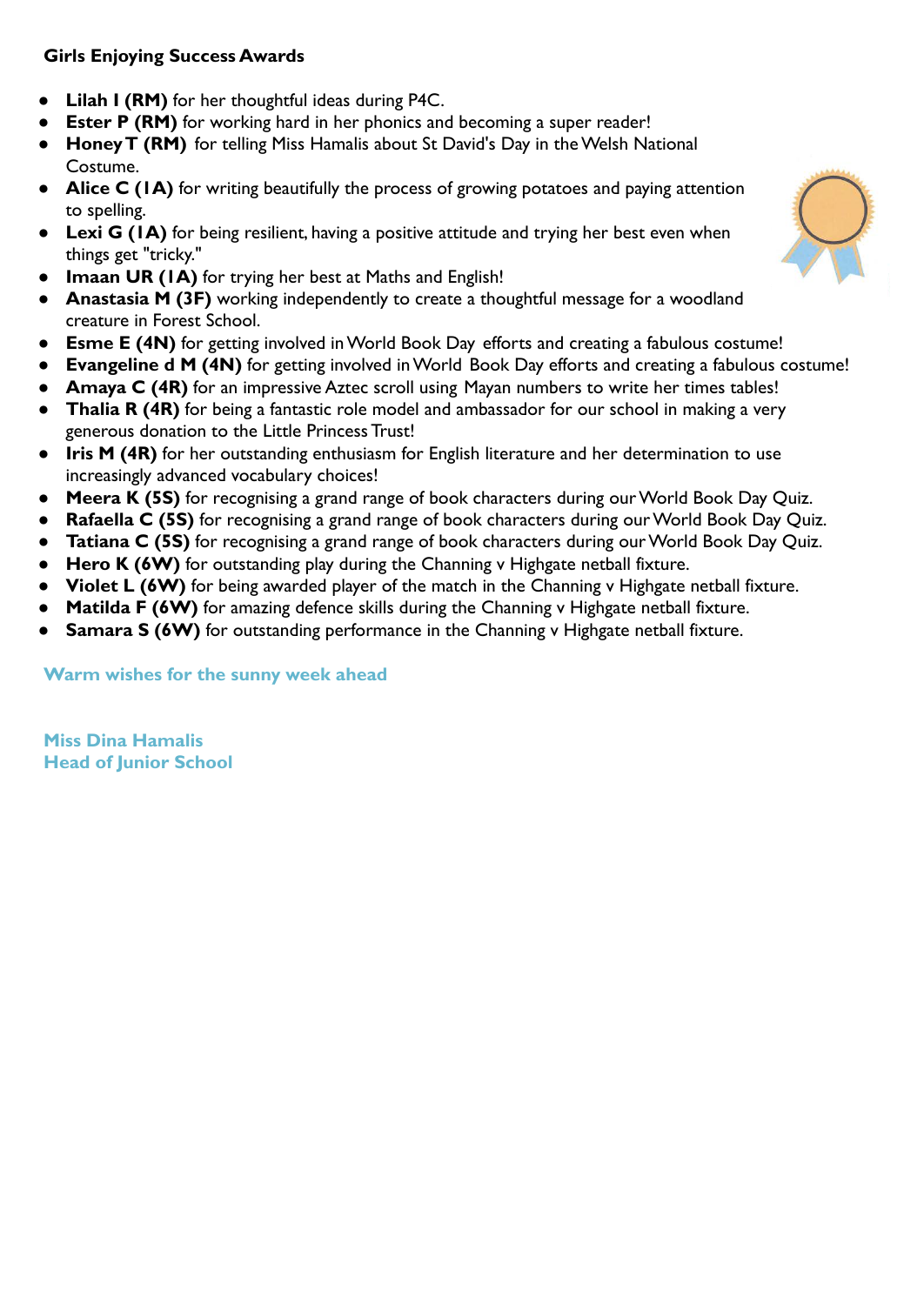## **Girls Enjoying Success Awards**

- **Lilah I (RM)** for her thoughtful ideas during P4C.
- **● Ester P (RM)** for working hard in her phonics and becoming a super reader!
- **● Honey T (RM)** for telling Miss Hamalis about St David's Day in the Welsh National Costume.
- **Alice C (1A)** for writing beautifully the process of growing potatoes and paying attention to spelling.
- **Lexi G (1A)** for being resilient, having a positive attitude and trying her best even when things get "tricky."
- **Imaan UR (1A)** for trying her best at Maths and English!
- **Anastasia M (3F)** working independently to create a thoughtful message for a woodland creature in Forest School.
- **Esme E (4N)** for getting involved in World Book Day efforts and creating a fabulous costume!
- **Evangeline d M (4N)** for getting involved in World Book Day efforts and creating a fabulous costume!
- **Amaya C (4R)** for an impressive Aztec scroll using Mayan numbers to write her times tables!
- **Thalia R (4R)** for being a fantastic role model and ambassador for our school in making a very generous donation to the Little Princess Trust!
- **Iris M (4R)** for her outstanding enthusiasm for English literature and her determination to use increasingly advanced vocabulary choices!
- **Meera K (5S)** for recognising a grand range of book characters during our World Book Day Quiz.
- **Rafaella C (5S)** for recognising a grand range of book characters during our World Book Day Quiz.
- **Tatiana C (5S)** for recognising a grand range of book characters during our World Book Day Quiz.
- **Hero K (6W)** for outstanding play during the Channing v Highgate netball fixture.
- **Violet L (6W)** for being awarded player of the match in the Channing v Highgate netball fixture.
- **Matilda F (6W)** for amazing defence skills during the Channing v Highgate netball fixture.
- **Samara S (6W)** for outstanding performance in the Channing v Highgate netball fixture.

**Warm wishes for the sunny week ahead**

**Miss Dina Hamalis Head of Junior School**

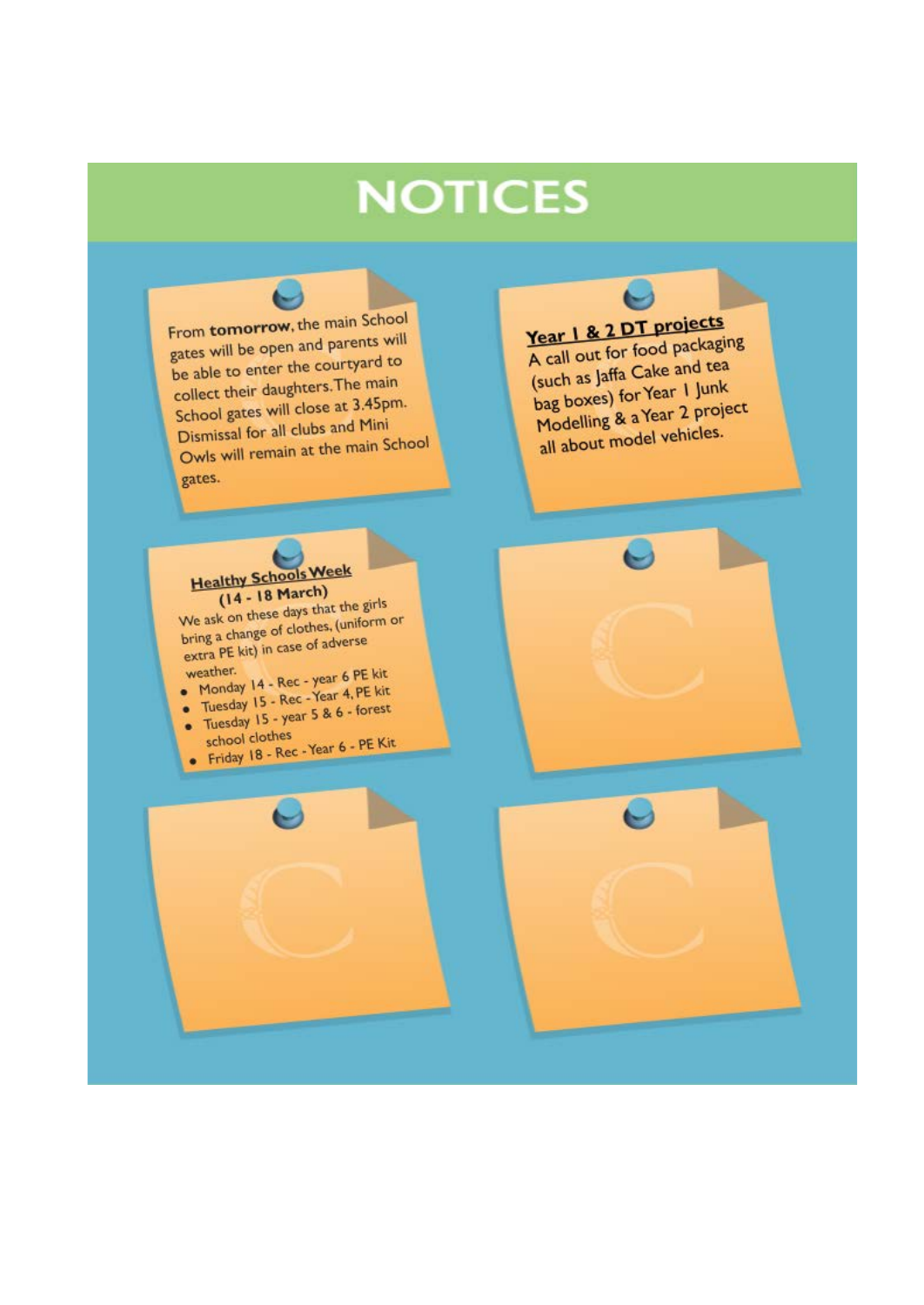## **NOTICES**

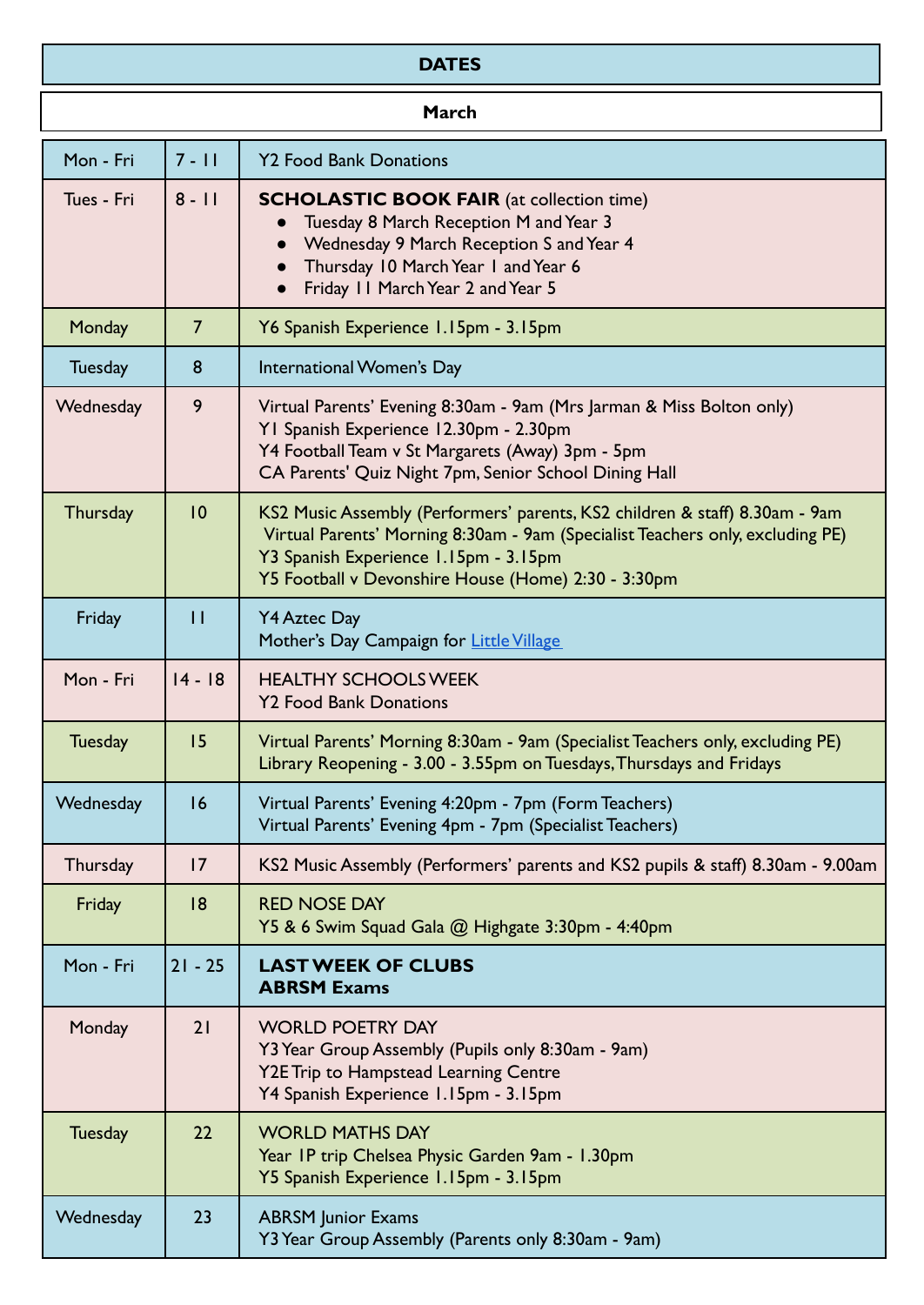## **DATES**

| <b>March</b>   |                 |                                                                                                                                                                                                                                                               |
|----------------|-----------------|---------------------------------------------------------------------------------------------------------------------------------------------------------------------------------------------------------------------------------------------------------------|
| Mon - Fri      | $7 - 11$        | <b>Y2 Food Bank Donations</b>                                                                                                                                                                                                                                 |
| Tues - Fri     | $8 - 11$        | <b>SCHOLASTIC BOOK FAIR</b> (at collection time)<br>Tuesday 8 March Reception M and Year 3<br>Wednesday 9 March Reception S and Year 4<br>• Thursday 10 March Year 1 and Year 6<br>Friday 11 March Year 2 and Year 5                                          |
| Monday         | $\overline{7}$  | Y6 Spanish Experience 1.15pm - 3.15pm                                                                                                                                                                                                                         |
| <b>Tuesday</b> | 8               | International Women's Day                                                                                                                                                                                                                                     |
| Wednesday      | 9               | Virtual Parents' Evening 8:30am - 9am (Mrs Jarman & Miss Bolton only)<br>YI Spanish Experience 12.30pm - 2.30pm<br>Y4 Football Team v St Margarets (Away) 3pm - 5pm<br>CA Parents' Quiz Night 7pm, Senior School Dining Hall                                  |
| Thursday       | $\overline{10}$ | KS2 Music Assembly (Performers' parents, KS2 children & staff) 8.30am - 9am<br>Virtual Parents' Morning 8:30am - 9am (Specialist Teachers only, excluding PE)<br>Y3 Spanish Experience 1.15pm - 3.15pm<br>Y5 Football v Devonshire House (Home) 2:30 - 3:30pm |
| Friday         | $\overline{11}$ | <b>Y4 Aztec Day</b><br>Mother's Day Campaign for Little Village                                                                                                                                                                                               |
| Mon - Fri      | $14 - 18$       | <b>HEALTHY SCHOOLS WEEK</b><br><b>Y2 Food Bank Donations</b>                                                                                                                                                                                                  |
| <b>Tuesday</b> | 15              | Virtual Parents' Morning 8:30am - 9am (Specialist Teachers only, excluding PE)<br>Library Reopening - 3.00 - 3.55pm on Tuesdays, Thursdays and Fridays                                                                                                        |
| Wednesday      | 16              | Virtual Parents' Evening 4:20pm - 7pm (Form Teachers)<br>Virtual Parents' Evening 4pm - 7pm (Specialist Teachers)                                                                                                                                             |
| Thursday       | 17              | KS2 Music Assembly (Performers' parents and KS2 pupils & staff) 8.30am - 9.00am                                                                                                                                                                               |
| Friday         | 8               | <b>RED NOSE DAY</b><br>Y5 & 6 Swim Squad Gala @ Highgate 3:30pm - 4:40pm                                                                                                                                                                                      |
| Mon - Fri      | $21 - 25$       | <b>LAST WEEK OF CLUBS</b><br><b>ABRSM Exams</b>                                                                                                                                                                                                               |
| Monday         | 21              | <b>WORLD POETRY DAY</b><br>Y3 Year Group Assembly (Pupils only 8:30am - 9am)<br><b>Y2E Trip to Hampstead Learning Centre</b><br>Y4 Spanish Experience 1.15pm - 3.15pm                                                                                         |
| <b>Tuesday</b> | 22              | <b>WORLD MATHS DAY</b><br>Year IP trip Chelsea Physic Garden 9am - 1.30pm<br>Y5 Spanish Experience 1.15pm - 3.15pm                                                                                                                                            |
| Wednesday      | 23              | <b>ABRSM</b> Junior Exams<br>Y3 Year Group Assembly (Parents only 8:30am - 9am)                                                                                                                                                                               |